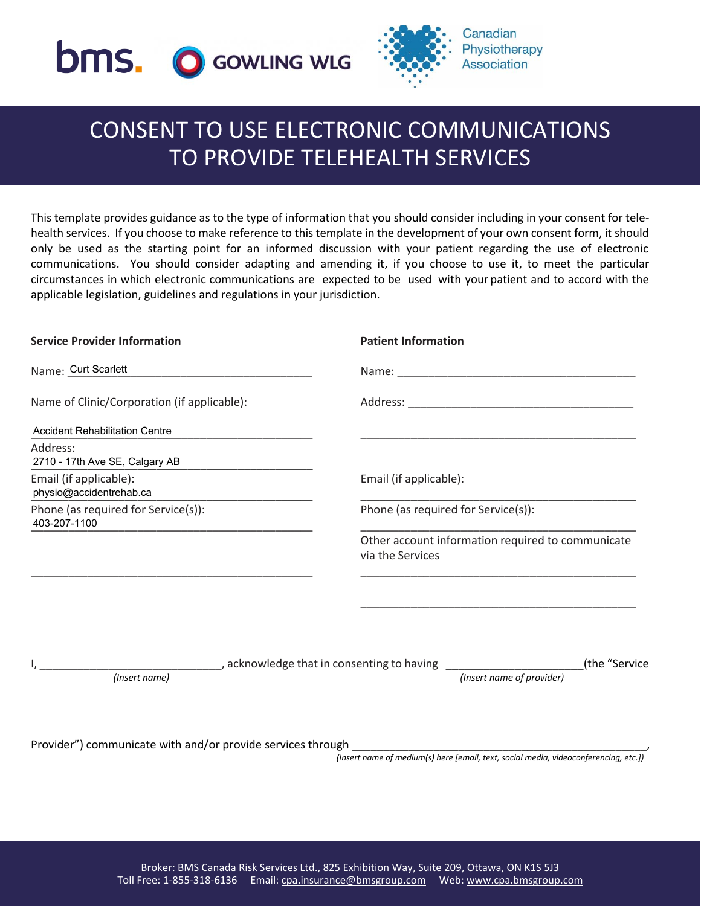



# CONSENT TO USE ELECTRONIC COMMUNICATIONS TO PROVIDE TELEHEALTH SERVICES

This template provides guidance as to the type of information that you should consider including in your consent for telehealth services. If you choose to make reference to this template in the development of your own consent form, it should only be used as the starting point for an informed discussion with your patient regarding the use of electronic communications. You should consider adapting and amending it, if you choose to use it, to meet the particular circumstances in which electronic communications are expected to be used with your patient and to accord with the applicable legislation, guidelines and regulations in your jurisdiction.

| <b>Service Provider Information</b>                        | <b>Patient Information</b>                                            |
|------------------------------------------------------------|-----------------------------------------------------------------------|
| Name: Curt Scarlett<br><u> 1980 - Jan Barbarat, manala</u> |                                                                       |
| Name of Clinic/Corporation (if applicable):                |                                                                       |
| <b>Accident Rehabilitation Centre</b>                      |                                                                       |
| Address:<br>2710 - 17th Ave SE, Calgary AB                 |                                                                       |
| Email (if applicable):<br>physio@accidentrehab.ca          | Email (if applicable):                                                |
| Phone (as required for Service(s)):<br>403-207-1100        | Phone (as required for Service(s)):                                   |
|                                                            | Other account information required to communicate<br>via the Services |
|                                                            |                                                                       |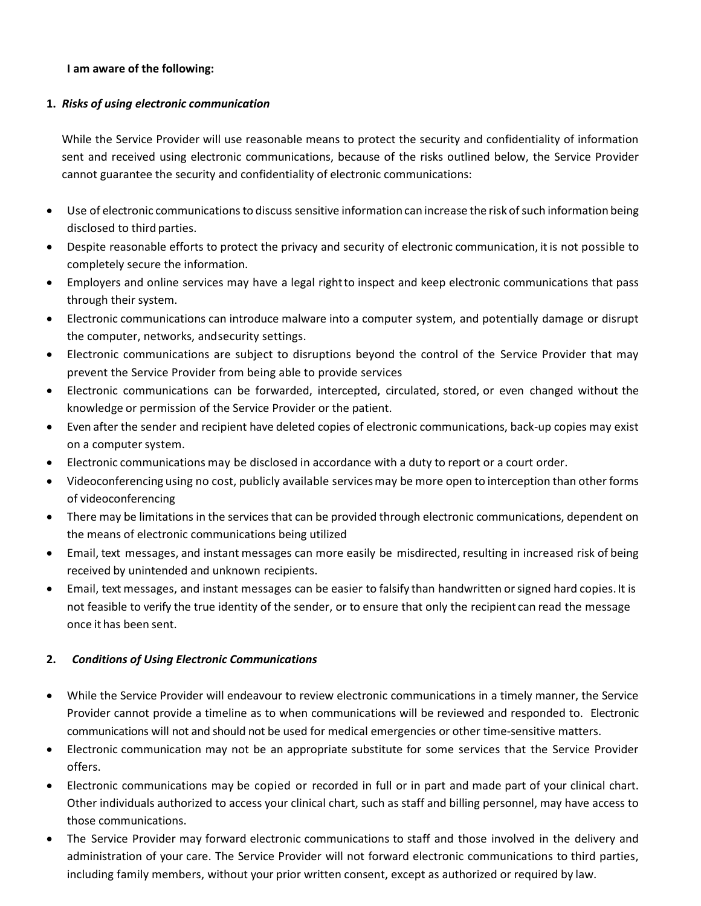### **I am aware of the following:**

### **1.** *Risks of using electronic communication*

While the Service Provider will use reasonable means to protect the security and confidentiality of information sent and received using electronic communications, because of the risks outlined below, the Service Provider cannot guarantee the security and confidentiality of electronic communications:

- Use of electronic communications to discuss sensitive information can increase the risk ofsuch information being disclosed to third parties.
- Despite reasonable efforts to protect the privacy and security of electronic communication, itis not possible to completely secure the information.
- Employers and online services may have a legal rightto inspect and keep electronic communications that pass through their system.
- Electronic communications can introduce malware into a computer system, and potentially damage or disrupt the computer, networks, andsecurity settings.
- Electronic communications are subject to disruptions beyond the control of the Service Provider that may prevent the Service Provider from being able to provide services
- Electronic communications can be forwarded, intercepted, circulated, stored, or even changed without the knowledge or permission of the Service Provider or the patient.
- Even after the sender and recipient have deleted copies of electronic communications, back-up copies may exist on a computer system.
- Electronic communications may be disclosed in accordance with a duty to report or a court order.
- Videoconferencing using no cost, publicly available servicesmay be more open to interception than other forms of videoconferencing
- There may be limitations in the services that can be provided through electronic communications, dependent on the means of electronic communications being utilized
- Email, text messages, and instant messages can more easily be misdirected, resulting in increased risk of being received by unintended and unknown recipients.
- Email, text messages, and instant messages can be easier to falsify than handwritten orsigned hard copies. It is not feasible to verify the true identity of the sender, or to ensure that only the recipient can read the message once it has been sent.

## **2.** *Conditions of Using Electronic Communications*

- While the Service Provider will endeavour to review electronic communications in a timely manner, the Service Provider cannot provide a timeline as to when communications will be reviewed and responded to. Electronic communications will not and should not be used for medical emergencies or other time-sensitive matters.
- Electronic communication may not be an appropriate substitute for some services that the Service Provider offers.
- Electronic communications may be copied or recorded in full or in part and made part of your clinical chart. Other individuals authorized to access your clinical chart, such as staff and billing personnel, may have access to those communications.
- The Service Provider may forward electronic communications to staff and those involved in the delivery and administration of your care. The Service Provider will not forward electronic communications to third parties, including family members, without your prior written consent, except as authorized or required by law.